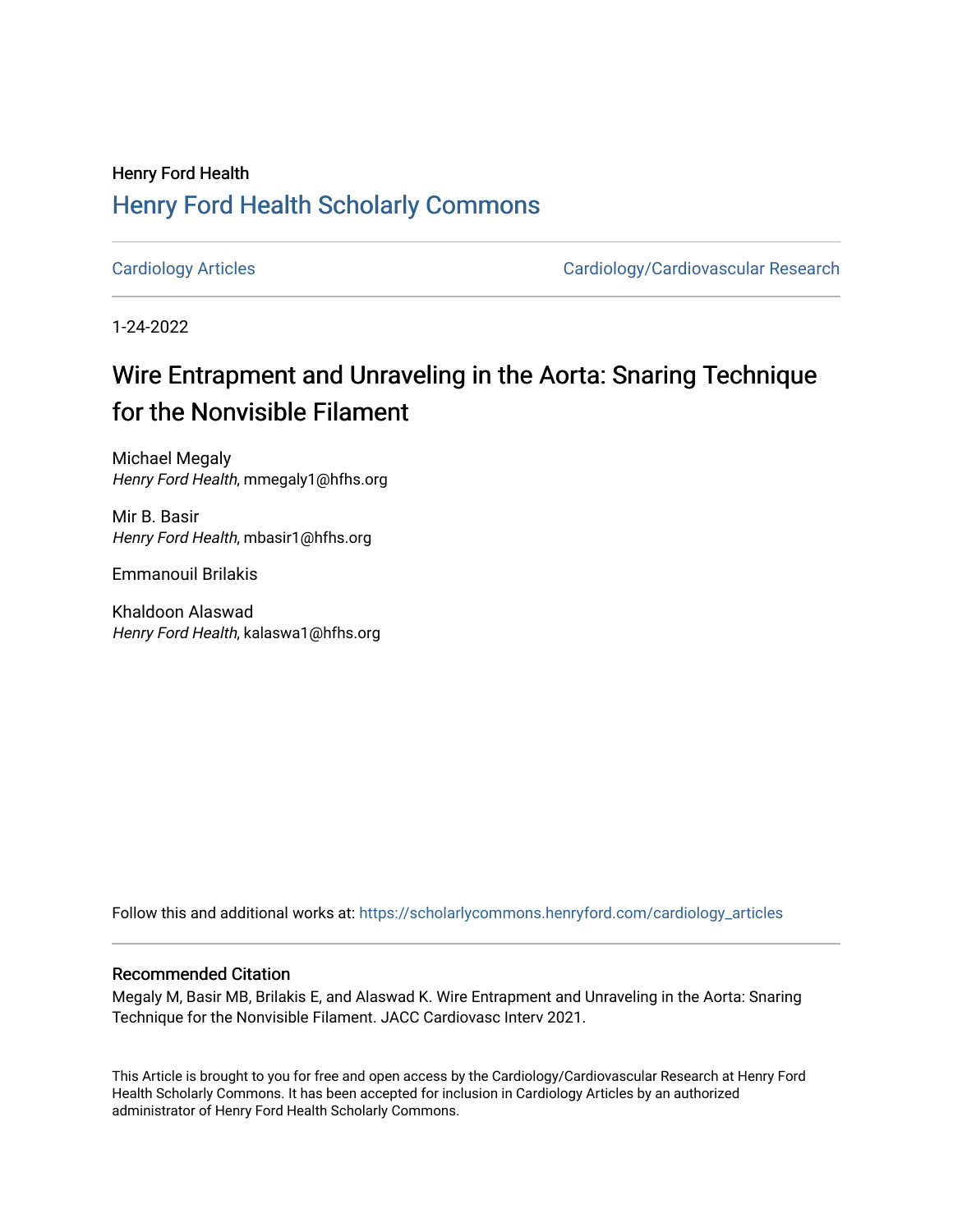### Henry Ford Health [Henry Ford Health Scholarly Commons](https://scholarlycommons.henryford.com/)

[Cardiology Articles](https://scholarlycommons.henryford.com/cardiology_articles) [Cardiology/Cardiovascular Research](https://scholarlycommons.henryford.com/cardiology) 

1-24-2022

## Wire Entrapment and Unraveling in the Aorta: Snaring Technique for the Nonvisible Filament

Michael Megaly Henry Ford Health, mmegaly1@hfhs.org

Mir B. Basir Henry Ford Health, mbasir1@hfhs.org

Emmanouil Brilakis

Khaldoon Alaswad Henry Ford Health, kalaswa1@hfhs.org

Follow this and additional works at: [https://scholarlycommons.henryford.com/cardiology\\_articles](https://scholarlycommons.henryford.com/cardiology_articles?utm_source=scholarlycommons.henryford.com%2Fcardiology_articles%2F859&utm_medium=PDF&utm_campaign=PDFCoverPages)

### Recommended Citation

Megaly M, Basir MB, Brilakis E, and Alaswad K. Wire Entrapment and Unraveling in the Aorta: Snaring Technique for the Nonvisible Filament. JACC Cardiovasc Interv 2021.

This Article is brought to you for free and open access by the Cardiology/Cardiovascular Research at Henry Ford Health Scholarly Commons. It has been accepted for inclusion in Cardiology Articles by an authorized administrator of Henry Ford Health Scholarly Commons.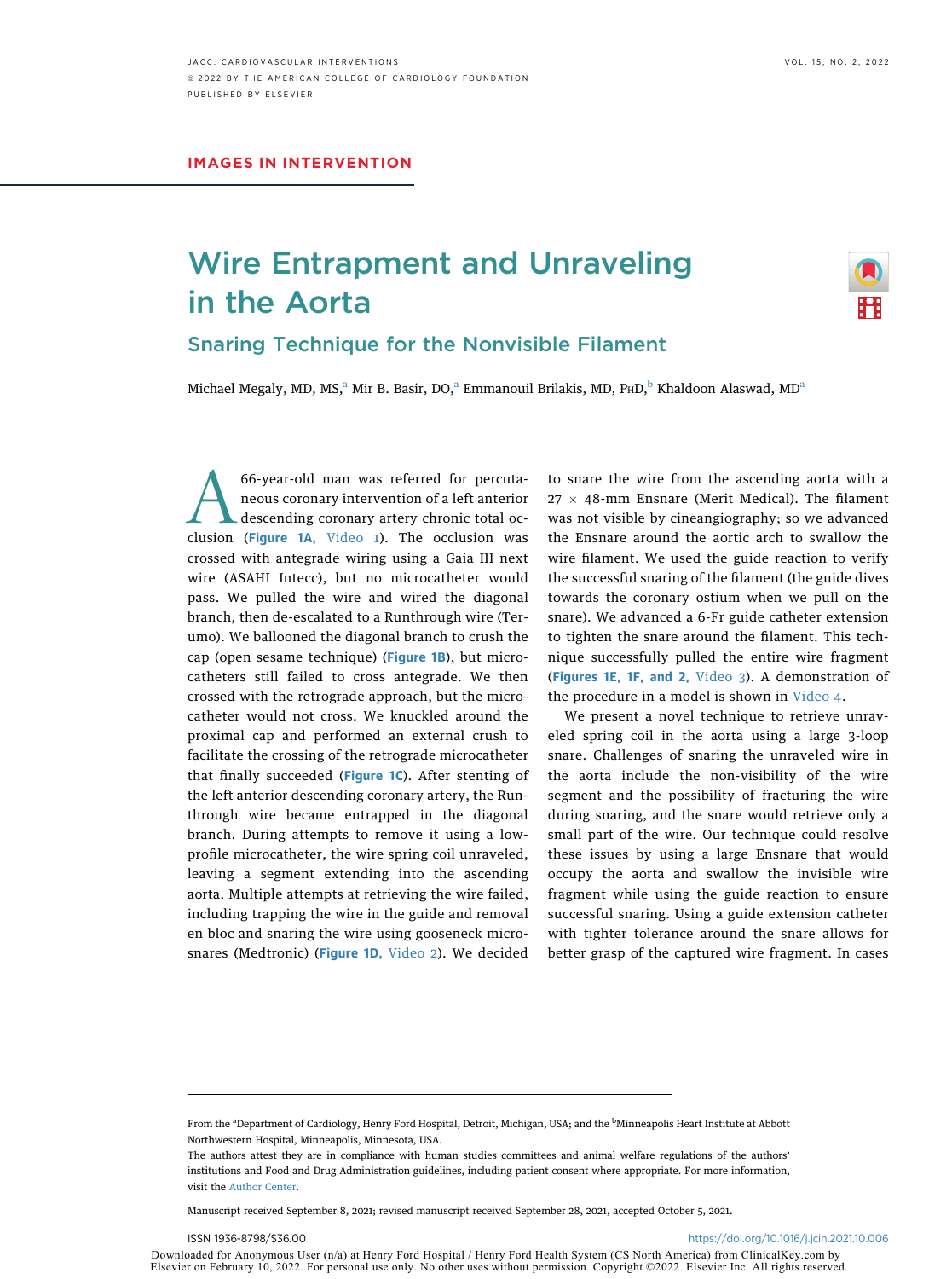# Wire Entrapment and Unraveling in the Aorta



Snaring Technique for the Nonvisible Filament

Mich[a](#page-1-0)el Megaly, MD, MS,<sup>a</sup> Mir B. Basir, DO,<sup>a</sup> Emmanouil Brilakis, MD, PHD,<sup>[b](#page-1-0)</sup> Khaldoon Alaswad, MD<sup>a</sup>

66-year-old man was referred for percuta-<br>neous coronary intervention of a left anterior<br>descending coronary artery chronic total oc-<br>clusion ([Figure 1A](#page-2-0), [Video 1\)](https://doi.org/10.1016/j.jcin.2021.10.006). The occlusion was neous coronary intervention of a left anterior descending coronary artery chronic total occrossed with antegrade wiring using a Gaia III next wire (ASAHI Intecc), but no microcatheter would pass. We pulled the wire and wired the diagonal branch, then de-escalated to a Runthrough wire (Terumo). We ballooned the diagonal branch to crush the cap (open sesame technique) ([Figure 1B](#page-2-0)), but microcatheters still failed to cross antegrade. We then crossed with the retrograde approach, but the microcatheter would not cross. We knuckled around the proximal cap and performed an external crush to facilitate the crossing of the retrograde microcatheter that finally succeeded ([Figure 1C](#page-2-0)). After stenting of the left anterior descending coronary artery, the Runthrough wire became entrapped in the diagonal branch. During attempts to remove it using a lowprofile microcatheter, the wire spring coil unraveled, leaving a segment extending into the ascending aorta. Multiple attempts at retrieving the wire failed, including trapping the wire in the guide and removal en bloc and snaring the wire using gooseneck microsnares (Medtronic) ([Figure 1D](#page-2-0), [Video 2\)](https://doi.org/10.1016/j.jcin.2021.10.006). We decided

to snare the wire from the ascending aorta with a  $27 \times 48$ -mm Ensnare (Merit Medical). The filament was not visible by cineangiography; so we advanced the Ensnare around the aortic arch to swallow the wire filament. We used the guide reaction to verify the successful snaring of the filament (the guide dives towards the coronary ostium when we pull on the snare). We advanced a 6-Fr guide catheter extension to tighten the snare around the filament. This technique successfully pulled the entire wire fragment ([Figures 1E, 1F,](#page-2-0) and [2](#page-2-1), [Video 3\)](https://doi.org/10.1016/j.jcin.2021.10.006). A demonstration of the procedure in a model is shown in Video 4.

We present a novel technique to retrieve unraveled spring coil in the aorta using a large 3-loop snare. Challenges of snaring the unraveled wire in the aorta include the non-visibility of the wire segment and the possibility of fracturing the wire during snaring, and the snare would retrieve only a small part of the wire. Our technique could resolve these issues by using a large Ensnare that would occupy the aorta and swallow the invisible wire fragment while using the guide reaction to ensure successful snaring. Using a guide extension catheter with tighter tolerance around the snare allows for better grasp of the captured wire fragment. In cases

Manuscript received September 8, 2021; revised manuscript received September 28, 2021, accepted October 5, 2021.

Downloaded for Anonymous User (n/a) at Henry Ford Hospital / Henry Ford Health System (CS North America) from ClinicalKey.com by Elsevier on February 10, 2022. For personal use only. No other uses without permission. Copyright ©2022. Elsevier Inc. All rights reserved.

<span id="page-1-0"></span>From the <sup>a</sup>Department of Cardiology, Henry Ford Hospital, Detroit, Michigan, USA; and the <sup>b</sup>Minneapolis Heart Institute at Abbott Northwestern Hospital, Minneapolis, Minnesota, USA.

The authors attest they are in compliance with human studies committees and animal welfare regulations of the authors' institutions and Food and Drug Administration guidelines, including patient consent where appropriate. For more information, visit the [Author Center](https://www.jacc.org/author-center).